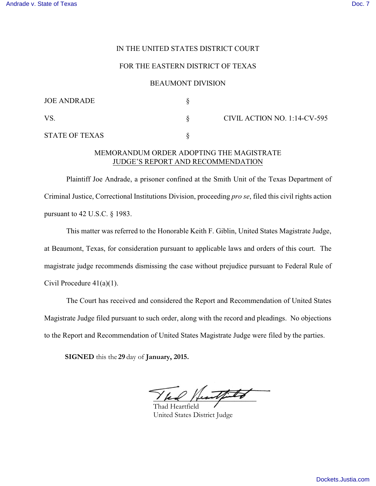## IN THE UNITED STATES DISTRICT COURT

## FOR THE EASTERN DISTRICT OF TEXAS

#### BEAUMONT DIVISION

| <b>JOE ANDRADE</b>    |                              |
|-----------------------|------------------------------|
| VS                    | CIVIL ACTION NO. 1:14-CV-595 |
| <b>STATE OF TEXAS</b> |                              |

## MEMORANDUM ORDER ADOPTING THE MAGISTRATE JUDGE'S REPORT AND RECOMMENDATION

Plaintiff Joe Andrade, a prisoner confined at the Smith Unit of the Texas Department of Criminal Justice, Correctional Institutions Division, proceeding *pro se*, filed this civil rights action pursuant to 42 U.S.C. § 1983.

This matter was referred to the Honorable Keith F. Giblin, United States Magistrate Judge, at Beaumont, Texas, for consideration pursuant to applicable laws and orders of this court. The magistrate judge recommends dismissing the case without prejudice pursuant to Federal Rule of Civil Procedure 41(a)(1).

The Court has received and considered the Report and Recommendation of United States Magistrate Judge filed pursuant to such order, along with the record and pleadings. No objections to the Report and Recommendation of United States Magistrate Judge were filed by the parties.

**SIGNED** this the 29 day of **January**, 2015.

funtfiled

Thad Heartfield United States District Judge